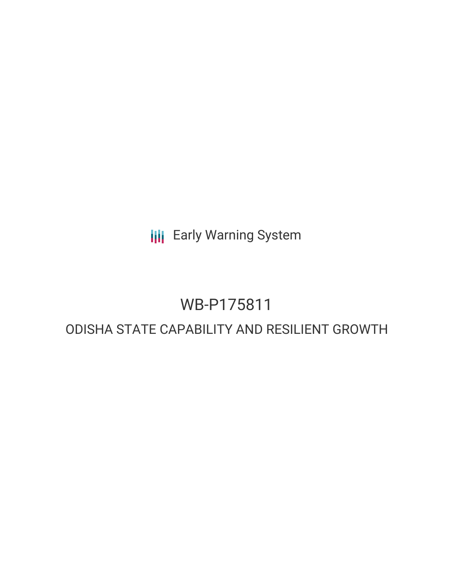**III** Early Warning System

# WB-P175811

# ODISHA STATE CAPABILITY AND RESILIENT GROWTH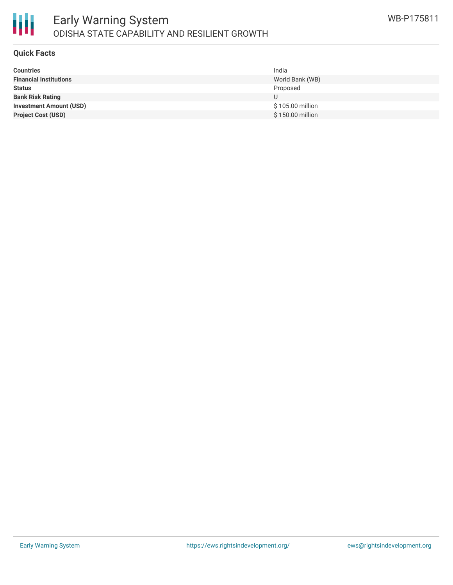

#### **Quick Facts**

| <b>Countries</b>               | India            |
|--------------------------------|------------------|
| <b>Financial Institutions</b>  | World Bank (WB)  |
| <b>Status</b>                  | Proposed         |
| <b>Bank Risk Rating</b>        | U                |
| <b>Investment Amount (USD)</b> | \$105.00 million |
| <b>Project Cost (USD)</b>      | \$150.00 million |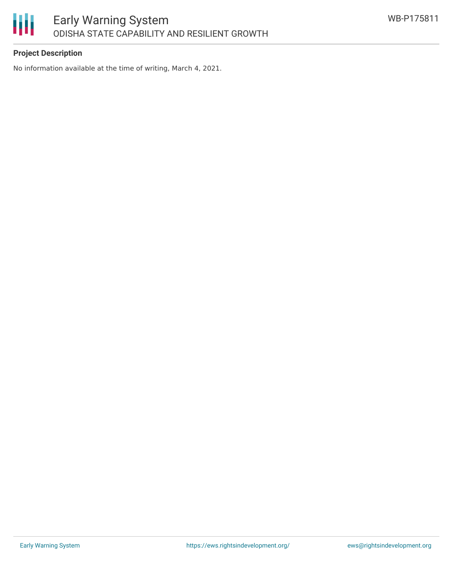

### **Project Description**

No information available at the time of writing, March 4, 2021.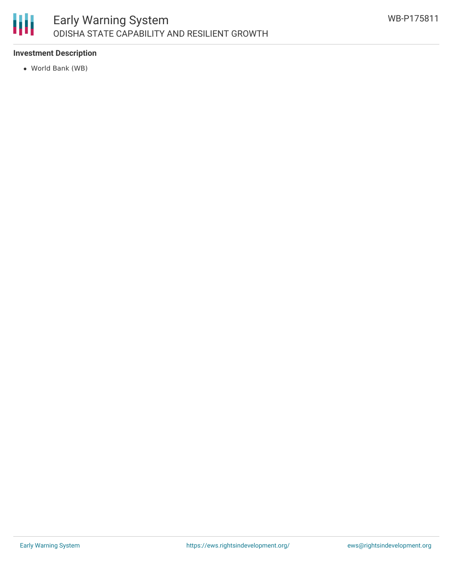

#### **Investment Description**

World Bank (WB)